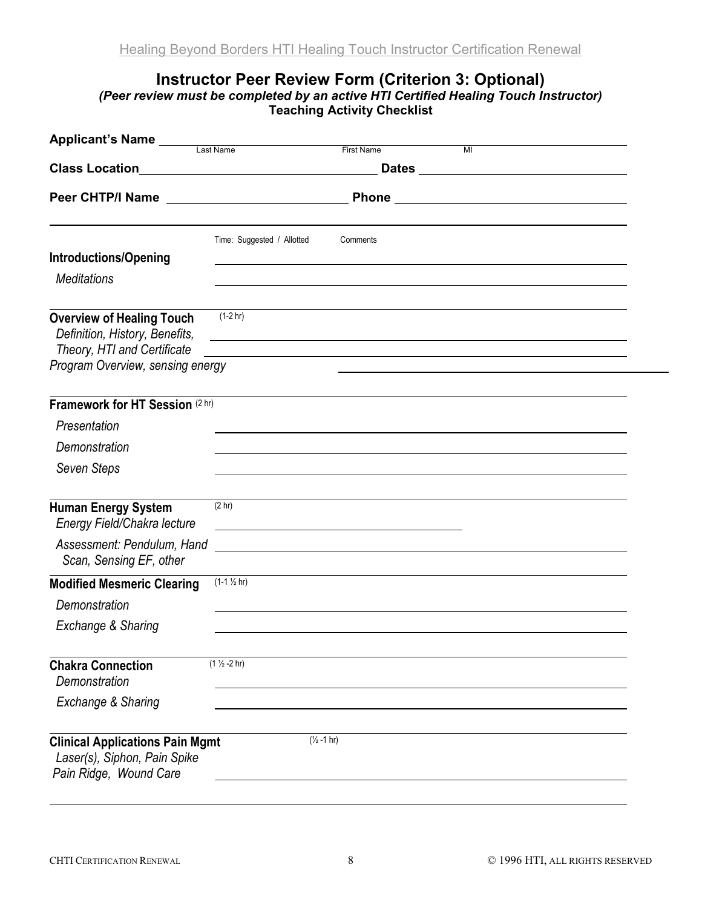## Instructor Peer Review Form (Criterion 3: Optional)

(Peer review must be completed by an active HTI Certified Healing Touch Instructor) Teaching Activity Checklist

| Applicant's Name ____<br>Last Name<br><b>First Name</b><br>MI                                                                         |                                                                  |                                                                                                                      |  |  |  |
|---------------------------------------------------------------------------------------------------------------------------------------|------------------------------------------------------------------|----------------------------------------------------------------------------------------------------------------------|--|--|--|
| <b>Class Location</b>                                                                                                                 | <u> 1989 - Johann Stein, mars an t-Amerikaansk kommunister (</u> |                                                                                                                      |  |  |  |
|                                                                                                                                       |                                                                  |                                                                                                                      |  |  |  |
| <b>Introductions/Opening</b><br><b>Meditations</b>                                                                                    | Time: Suggested / Allotted                                       | Comments                                                                                                             |  |  |  |
| <b>Overview of Healing Touch</b><br>Definition, History, Benefits,<br>Theory, HTI and Certificate<br>Program Overview, sensing energy | $(1-2 hr)$                                                       | <u> 1989 - Johann Barn, mars ar breithinn ar chuid ann an t-Alban ann an t-Alban ann an t-Alban ann an t-Alban a</u> |  |  |  |
| Framework for HT Session (2 hr)                                                                                                       |                                                                  |                                                                                                                      |  |  |  |
| Presentation                                                                                                                          |                                                                  |                                                                                                                      |  |  |  |
| Demonstration                                                                                                                         |                                                                  |                                                                                                                      |  |  |  |
| Seven Steps                                                                                                                           |                                                                  |                                                                                                                      |  |  |  |
| <b>Human Energy System</b><br>Energy Field/Chakra lecture                                                                             | (2 hr)                                                           |                                                                                                                      |  |  |  |
| Assessment: Pendulum, Hand<br>Scan, Sensing EF, other                                                                                 |                                                                  | <u> 1989 - John Stone, Amerikaansk politiker (</u>                                                                   |  |  |  |
| <b>Modified Mesmeric Clearing</b>                                                                                                     | $(1-1 \frac{1}{2} hr)$                                           |                                                                                                                      |  |  |  |
| Demonstration                                                                                                                         |                                                                  |                                                                                                                      |  |  |  |
| Exchange & Sharing                                                                                                                    |                                                                  |                                                                                                                      |  |  |  |
| <b>Chakra Connection</b><br>Demonstration                                                                                             | $(1 \frac{1}{2} - 2 hr)$                                         |                                                                                                                      |  |  |  |
| Exchange & Sharing                                                                                                                    |                                                                  |                                                                                                                      |  |  |  |
| <b>Clinical Applications Pain Mgmt</b><br>Laser(s), Siphon, Pain Spike<br>Pain Ridge, Wound Care                                      |                                                                  | $(\frac{1}{2} - 1)$ hr)                                                                                              |  |  |  |

 $\overline{a}$